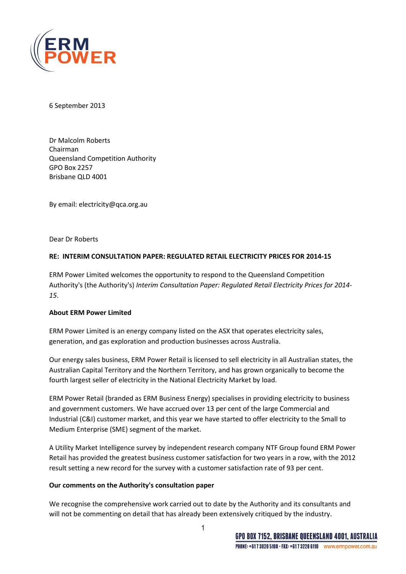

6 September 2013

Dr Malcolm Roberts Chairman Queensland Competition Authority GPO Box 2257 Brisbane QLD 4001

By email: electricity@qca.org.au

Dear Dr Roberts

## RE: INTERIM CONSULTATION PAPER: REGULATED RETAIL ELECTRICITY PRICES FOR 2014‐15

ERM Power Limited welcomes the opportunity to respond to the Queensland Competition Authority's (the Authority's) Interim Consultation Paper: Regulated Retail Electricity Prices for 2014- 15.

## About ERM Power Limited

ERM Power Limited is an energy company listed on the ASX that operates electricity sales, generation, and gas exploration and production businesses across Australia.

Our energy sales business, ERM Power Retail is licensed to sell electricity in all Australian states, the Australian Capital Territory and the Northern Territory, and has grown organically to become the fourth largest seller of electricity in the National Electricity Market by load.

ERM Power Retail (branded as ERM Business Energy) specialises in providing electricity to business and government customers. We have accrued over 13 per cent of the large Commercial and Industrial (C&I) customer market, and this year we have started to offer electricity to the Small to Medium Enterprise (SME) segment of the market.

A Utility Market Intelligence survey by independent research company NTF Group found ERM Power Retail has provided the greatest business customer satisfaction for two years in a row, with the 2012 result setting a new record for the survey with a customer satisfaction rate of 93 per cent.

## Our comments on the Authority's consultation paper

We recognise the comprehensive work carried out to date by the Authority and its consultants and will not be commenting on detail that has already been extensively critiqued by the industry.